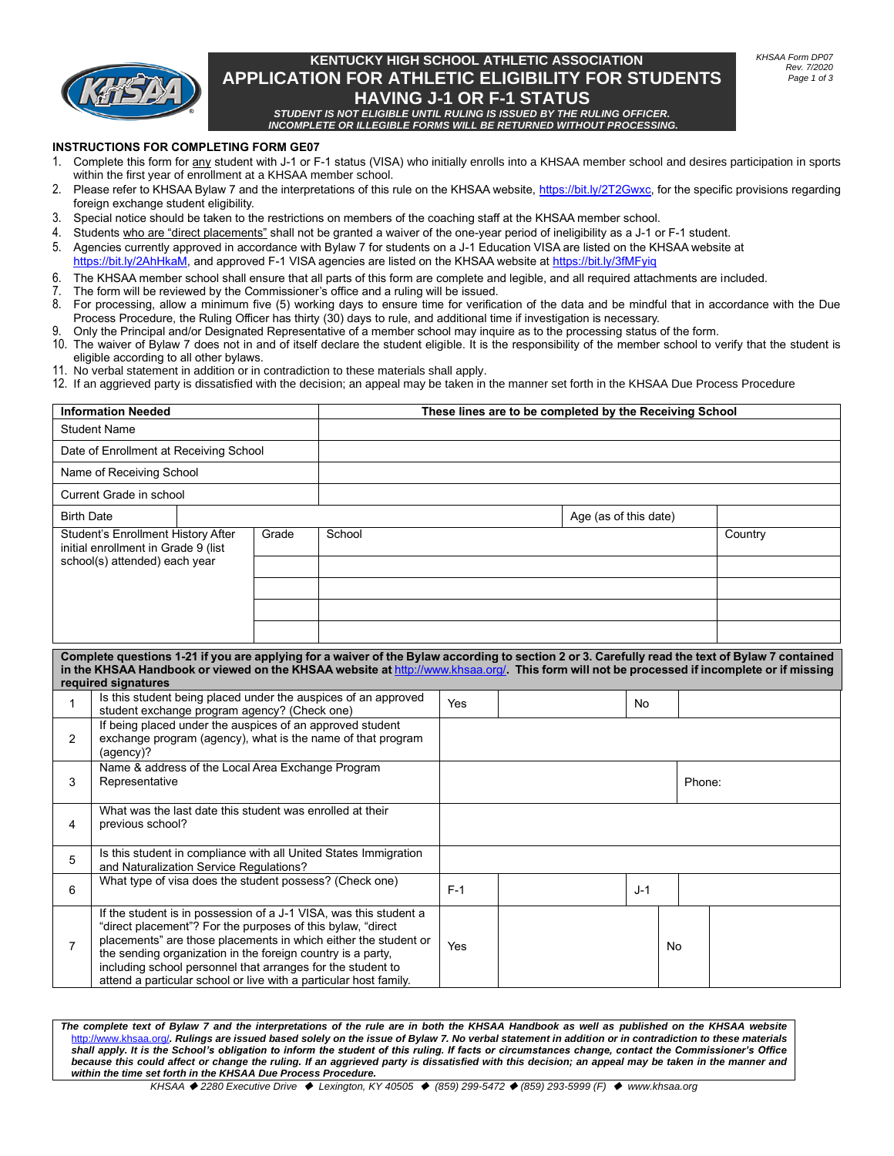

# **KENTUCKY HIGH SCHOOL ATHLETIC ASSOCIATION APPLICATION FOR ATHLETIC ELIGIBILITY FOR STUDENTS HAVING J-1 OR F-1 STATUS**

*STUDENT IS NOT ELIGIBLE UNTIL RULING IS ISSUED BY THE RULING OFFICER. INCOMPLETE OR ILLEGIBLE FORMS WILL BE RETURNED WITHOUT PROCESSING.*

### **INSTRUCTIONS FOR COMPLETING FORM GE07**

- 1. Complete this form for any student with J-1 or F-1 status (VISA) who initially enrolls into a KHSAA member school and desires participation in sports within the first year of enrollment at a KHSAA member school.
- 2. Please refer to KHSAA Bylaw 7 and the interpretations of this rule on the KHSAA website[, https://bit.ly/2T2Gwxc,](https://bit.ly/2T2Gwxc) for the specific provisions regarding foreign exchange student eligibility.
- 3. Special notice should be taken to the restrictions on members of the coaching staff at the KHSAA member school.
- 4. Students who are "direct placements" shall not be granted a waiver of the one-year period of ineligibility as a J-1 or F-1 student.
- 5. Agencies currently approved in accordance with Bylaw 7 for students on a J-1 Education VISA are listed on the KHSAA website at [https://bit.ly/2AhHkaM,](https://bit.ly/2AhHkaM) and approved F-1 VISA agencies are listed on the KHSAA website a[t https://bit.ly/3fMFyiq](https://bit.ly/3fMFyiq)
- 6. The KHSAA member school shall ensure that all parts of this form are complete and legible, and all required attachments are included.
- 7. The form will be reviewed by the Commissioner's office and a ruling will be issued.<br>8. For processing allow a minimum five  $(5)$  working days to ensure time for verifical
- 8. For processing, allow a minimum five (5) working days to ensure time for verification of the data and be mindful that in accordance with the Due Process Procedure, the Ruling Officer has thirty (30) days to rule, and additional time if investigation is necessary.
- 9. Only the Principal and/or Designated Representative of a member school may inquire as to the processing status of the form.<br>10. The waiver of Bylaw 7 does not in and of itself declare the student eligible. It is the res
- The waiver of Bylaw 7 does not in and of itself declare the student eligible. It is the responsibility of the member school to verify that the student is eligible according to all other bylaws.
- 11. No verbal statement in addition or in contradiction to these materials shall apply.
- 12. If an aggrieved party is dissatisfied with the decision; an appeal may be taken in the manner set forth in the KHSAA Due Process Procedure

| <b>Information Needed</b>                                                                                                                                                                                                                                                                                            |                                                                               |                                                                                                                          |        | These lines are to be completed by the Receiving School                                                                                                                                                                                                                                                                                 |        |                       |  |       |           |         |  |  |
|----------------------------------------------------------------------------------------------------------------------------------------------------------------------------------------------------------------------------------------------------------------------------------------------------------------------|-------------------------------------------------------------------------------|--------------------------------------------------------------------------------------------------------------------------|--------|-----------------------------------------------------------------------------------------------------------------------------------------------------------------------------------------------------------------------------------------------------------------------------------------------------------------------------------------|--------|-----------------------|--|-------|-----------|---------|--|--|
| <b>Student Name</b>                                                                                                                                                                                                                                                                                                  |                                                                               |                                                                                                                          |        |                                                                                                                                                                                                                                                                                                                                         |        |                       |  |       |           |         |  |  |
| Date of Enrollment at Receiving School                                                                                                                                                                                                                                                                               |                                                                               |                                                                                                                          |        |                                                                                                                                                                                                                                                                                                                                         |        |                       |  |       |           |         |  |  |
| Name of Receiving School                                                                                                                                                                                                                                                                                             |                                                                               |                                                                                                                          |        |                                                                                                                                                                                                                                                                                                                                         |        |                       |  |       |           |         |  |  |
| Current Grade in school                                                                                                                                                                                                                                                                                              |                                                                               |                                                                                                                          |        |                                                                                                                                                                                                                                                                                                                                         |        |                       |  |       |           |         |  |  |
| <b>Birth Date</b>                                                                                                                                                                                                                                                                                                    |                                                                               |                                                                                                                          |        |                                                                                                                                                                                                                                                                                                                                         |        | Age (as of this date) |  |       |           |         |  |  |
| Student's Enrollment History After<br>Grade<br>initial enrollment in Grade 9 (list<br>school(s) attended) each year                                                                                                                                                                                                  |                                                                               |                                                                                                                          | School |                                                                                                                                                                                                                                                                                                                                         |        |                       |  |       |           | Country |  |  |
|                                                                                                                                                                                                                                                                                                                      |                                                                               |                                                                                                                          |        |                                                                                                                                                                                                                                                                                                                                         |        |                       |  |       |           |         |  |  |
|                                                                                                                                                                                                                                                                                                                      |                                                                               |                                                                                                                          |        |                                                                                                                                                                                                                                                                                                                                         |        |                       |  |       |           |         |  |  |
|                                                                                                                                                                                                                                                                                                                      |                                                                               |                                                                                                                          |        |                                                                                                                                                                                                                                                                                                                                         |        |                       |  |       |           |         |  |  |
| Complete questions 1-21 if you are applying for a waiver of the Bylaw according to section 2 or 3. Carefully read the text of Bylaw 7 contained<br>in the KHSAA Handbook or viewed on the KHSAA website at http://www.khsaa.org/. This form will not be processed if incomplete or if missing<br>required signatures |                                                                               |                                                                                                                          |        |                                                                                                                                                                                                                                                                                                                                         |        |                       |  |       |           |         |  |  |
| $\mathbf{1}$                                                                                                                                                                                                                                                                                                         | student exchange program agency? (Check one)                                  |                                                                                                                          |        | Is this student being placed under the auspices of an approved                                                                                                                                                                                                                                                                          | Yes    |                       |  | No.   |           |         |  |  |
| 2                                                                                                                                                                                                                                                                                                                    | (agency)?                                                                     | If being placed under the auspices of an approved student<br>exchange program (agency), what is the name of that program |        |                                                                                                                                                                                                                                                                                                                                         |        |                       |  |       |           |         |  |  |
| 3                                                                                                                                                                                                                                                                                                                    | Representative                                                                | Name & address of the Local Area Exchange Program                                                                        |        |                                                                                                                                                                                                                                                                                                                                         | Phone: |                       |  |       |           |         |  |  |
| $\overline{4}$                                                                                                                                                                                                                                                                                                       | What was the last date this student was enrolled at their<br>previous school? |                                                                                                                          |        |                                                                                                                                                                                                                                                                                                                                         |        |                       |  |       |           |         |  |  |
| 5                                                                                                                                                                                                                                                                                                                    |                                                                               | Is this student in compliance with all United States Immigration<br>and Naturalization Service Regulations?              |        |                                                                                                                                                                                                                                                                                                                                         |        |                       |  |       |           |         |  |  |
| 6                                                                                                                                                                                                                                                                                                                    |                                                                               |                                                                                                                          |        | What type of visa does the student possess? (Check one)                                                                                                                                                                                                                                                                                 | $F-1$  |                       |  | $J-1$ |           |         |  |  |
| $\overline{7}$                                                                                                                                                                                                                                                                                                       | the sending organization in the foreign country is a party,                   |                                                                                                                          |        | If the student is in possession of a J-1 VISA, was this student a<br>"direct placement"? For the purposes of this bylaw, "direct<br>placements" are those placements in which either the student or<br>including school personnel that arranges for the student to<br>attend a particular school or live with a particular host family. | Yes    |                       |  |       | <b>No</b> |         |  |  |

*The complete text of Bylaw 7 and the interpretations of the rule are in both the KHSAA Handbook as well as published on the KHSAA website*  ww.khsaa.org/. Rulings are issued based solely on the issue of Bylaw 7. No verbal statement in addition or in contradiction to these materials *shall apply. It is the School's obligation to inform the student of this ruling. If facts or circumstances change, contact the Commissioner's Office because this could affect or change the ruling. If an aggrieved party is dissatisfied with this decision; an appeal may be taken in the manner and within the time set forth in the KHSAA Due Process Procedure.*

*KHSAA* ◆ *2280 Executive Drive* ◆ *Lexington, KY 40505* ◆ *(859) 299-5472* ◆ *(859) 293-5999 (F)* ◆ *www.khsaa.org*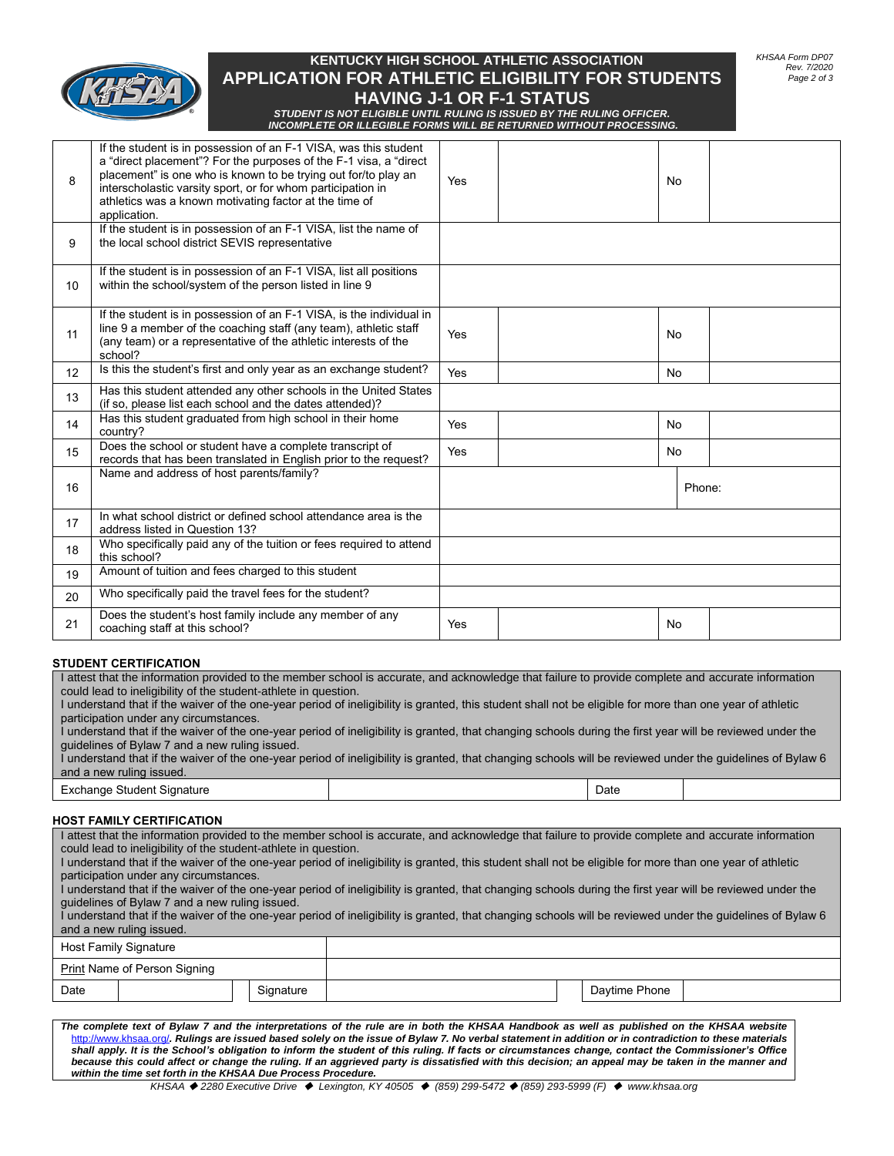

# **KENTUCKY HIGH SCHOOL ATHLETIC ASSOCIATION APPLICATION FOR ATHLETIC ELIGIBILITY FOR STUDENTS HAVING J-1 OR F-1 STATUS**

*KHSAA Form DP07 Rev. 7/2020 Page 2 of 3*

*STUDENT IS NOT ELIGIBLE UNTIL RULING IS ISSUED BY THE RULING OFFICER. INCOMPLETE OR ILLEGIBLE FORMS WILL BE RETURNED WITHOUT PROCESSING.*

| 8  | If the student is in possession of an F-1 VISA, was this student<br>a "direct placement"? For the purposes of the F-1 visa, a "direct<br>placement" is one who is known to be trying out for/to play an<br>interscholastic varsity sport, or for whom participation in<br>athletics was a known motivating factor at the time of<br>application. | Yes |  | No     |  |
|----|--------------------------------------------------------------------------------------------------------------------------------------------------------------------------------------------------------------------------------------------------------------------------------------------------------------------------------------------------|-----|--|--------|--|
| 9  | If the student is in possession of an F-1 VISA, list the name of<br>the local school district SEVIS representative                                                                                                                                                                                                                               |     |  |        |  |
| 10 | If the student is in possession of an F-1 VISA, list all positions<br>within the school/system of the person listed in line 9                                                                                                                                                                                                                    |     |  |        |  |
| 11 | If the student is in possession of an F-1 VISA, is the individual in<br>line 9 a member of the coaching staff (any team), athletic staff<br>(any team) or a representative of the athletic interests of the<br>school?                                                                                                                           | Yes |  | No     |  |
| 12 | Is this the student's first and only year as an exchange student?                                                                                                                                                                                                                                                                                | Yes |  | No     |  |
| 13 | Has this student attended any other schools in the United States<br>(if so, please list each school and the dates attended)?                                                                                                                                                                                                                     |     |  |        |  |
| 14 | Has this student graduated from high school in their home<br>country?                                                                                                                                                                                                                                                                            | Yes |  | No     |  |
| 15 | Does the school or student have a complete transcript of<br>records that has been translated in English prior to the request?                                                                                                                                                                                                                    | Yes |  | No     |  |
| 16 | Name and address of host parents/family?                                                                                                                                                                                                                                                                                                         |     |  | Phone: |  |
| 17 | In what school district or defined school attendance area is the<br>address listed in Question 13?                                                                                                                                                                                                                                               |     |  |        |  |
| 18 | Who specifically paid any of the tuition or fees required to attend<br>this school?                                                                                                                                                                                                                                                              |     |  |        |  |
| 19 | Amount of tuition and fees charged to this student                                                                                                                                                                                                                                                                                               |     |  |        |  |
| 20 | Who specifically paid the travel fees for the student?                                                                                                                                                                                                                                                                                           |     |  |        |  |
| 21 | Does the student's host family include any member of any<br>coaching staff at this school?                                                                                                                                                                                                                                                       | Yes |  | No     |  |
|    |                                                                                                                                                                                                                                                                                                                                                  |     |  |        |  |

#### **STUDENT CERTIFICATION**

I attest that the information provided to the member school is accurate, and acknowledge that failure to provide complete and accurate information could lead to ineligibility of the student-athlete in question.

I understand that if the waiver of the one-year period of ineligibility is granted, this student shall not be eligible for more than one year of athletic participation under any circumstances.

I understand that if the waiver of the one-year period of ineligibility is granted, that changing schools during the first year will be reviewed under the guidelines of Bylaw 7 and a new ruling issued.

I understand that if the waiver of the one-year period of ineligibility is granted, that changing schools will be reviewed under the guidelines of Bylaw 6 and a new ruling issued.

Exchange Student Signature **Date of American Control** Date Date of Date Date of Date Date Date of Date of Date of Date of Date of Date of Date of Date of Date of Date of Date of Date of Date of Date of Date of Date of Date

#### **HOST FAMILY CERTIFICATION**

*The complete text of Bylaw 7 and the interpretations of the rule are in both the KHSAA Handbook as well as published on the KHSAA website*  I attest that the information provided to the member school is accurate, and acknowledge that failure to provide complete and accurate information could lead to ineligibility of the student-athlete in question. I understand that if the waiver of the one-year period of ineligibility is granted, this student shall not be eligible for more than one year of athletic participation under any circumstances. I understand that if the waiver of the one-year period of ineligibility is granted, that changing schools during the first year will be reviewed under the guidelines of Bylaw 7 and a new ruling issued. I understand that if the waiver of the one-year period of ineligibility is granted, that changing schools will be reviewed under the guidelines of Bylaw 6 and a new ruling issued. Host Family Signature **Print Name of Person Signing** Date | Signature | Standard | Standard | Standard | Standard | Standard | Daytime Phone

w.khsaa.org/. Rulings are issued based solely on the issue of Bylaw 7. No verbal statement in addition or in contradiction to these materials *shall apply. It is the School's obligation to inform the student of this ruling. If facts or circumstances change, contact the Commissioner's Office because this could affect or change the ruling. If an aggrieved party is dissatisfied with this decision; an appeal may be taken in the manner and within the time set forth in the KHSAA Due Process Procedure.*

*KHSAA* ◆ *2280 Executive Drive* ◆ *Lexington, KY 40505* ◆ *(859) 299-5472* ◆ *(859) 293-5999 (F)* ◆ *www.khsaa.org*